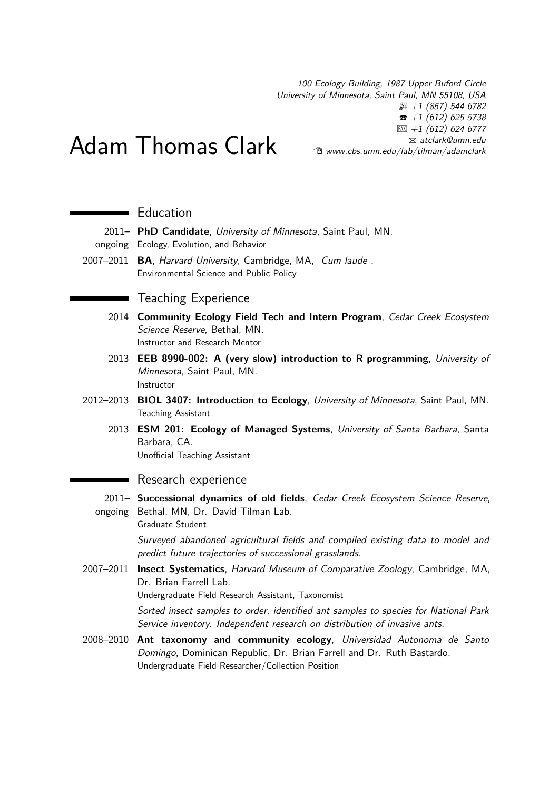100 Ecology Building, 1987 Upper Buford Circle University of Minnesota, Saint Paul, MN 55108, USA  $\wp$  +1 (857) 544 6782  $\hat{z}$  +1 (612) 625 5738  $\overline{FAX}$  +1 (612) 624 6777 B [atclark@umn.edu](mailto:atclark@umn.edu)  $\hat{E}$  [www.cbs.umn.edu/lab/tilman/adamclark](http://www.cbs.umn.edu/lab/tilman/adamclark)

# Adam Thomas Clark

## **Education**

2011– **PhD Candidate**, University of Minnesota, Saint Paul, MN.

- ongoing Ecology, Evolution, and Behavior
- 2007–2011 **BA**, Harvard University, Cambridge, MA, Cum laude . Environmental Science and Public Policy

### ■ Teaching Experience

- 2014 **Community Ecology Field Tech and Intern Program**, Cedar Creek Ecosystem Science Reserve, Bethal, MN. Instructor and Research Mentor
- 2013 **EEB 8990-002: A (very slow) introduction to R programming**, University of Minnesota, Saint Paul, MN. Instructor
- 2012–2013 **BIOL 3407: Introduction to Ecology**, University of Minnesota, Saint Paul, MN. Teaching Assistant
	- 2013 **ESM 201: Ecology of Managed Systems**, University of Santa Barbara, Santa Barbara, CA.

Unofficial Teaching Assistant

#### ■ Research experience

2011– **Successional dynamics of old fields**, Cedar Creek Ecosystem Science Reserve, ongoing Bethal, MN, Dr. David Tilman Lab.

Graduate Student

Surveyed abandoned agricultural fields and compiled existing data to model and predict future trajectories of successional grasslands.

2007–2011 **Insect Systematics**, Harvard Museum of Comparative Zoology, Cambridge, MA, Dr. Brian Farrell Lab.

Undergraduate Field Research Assistant, Taxonomist

Sorted insect samples to order, identified ant samples to species for National Park Service inventory. Independent research on distribution of invasive ants.

2008–2010 **Ant taxonomy and community ecology**, Universidad Autonoma de Santo Domingo, Dominican Republic, Dr. Brian Farrell and Dr. Ruth Bastardo. Undergraduate Field Researcher/Collection Position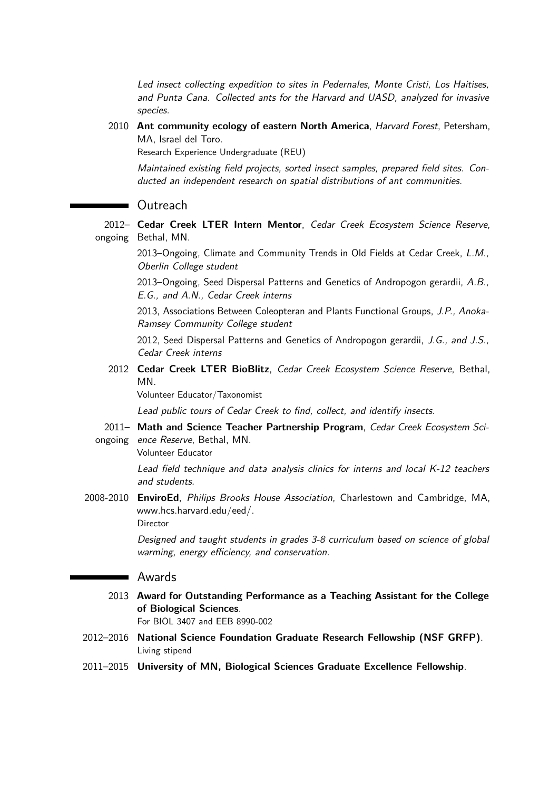Led insect collecting expedition to sites in Pedernales, Monte Cristi, Los Haitises, and Punta Cana. Collected ants for the Harvard and UASD, analyzed for invasive species.

2010 **Ant community ecology of eastern North America**, Harvard Forest, Petersham, MA, Israel del Toro.

Research Experience Undergraduate (REU)

Maintained existing field projects, sorted insect samples, prepared field sites. Conducted an independent research on spatial distributions of ant communities.

#### Outreach

2012– **Cedar Creek LTER Intern Mentor**, Cedar Creek Ecosystem Science Reserve, ongoing Bethal, MN.

2013–Ongoing, Climate and Community Trends in Old Fields at Cedar Creek, L.M., Oberlin College student

2013–Ongoing, Seed Dispersal Patterns and Genetics of Andropogon gerardii, A.B., E.G., and A.N., Cedar Creek interns

2013, Associations Between Coleopteran and Plants Functional Groups, J.P., Anoka-Ramsey Community College student

2012, Seed Dispersal Patterns and Genetics of Andropogon gerardii, J.G., and J.S., Cedar Creek interns

2012 **Cedar Creek LTER BioBlitz**, Cedar Creek Ecosystem Science Reserve, Bethal, MN.

Volunteer Educator/Taxonomist

Lead public tours of Cedar Creek to find, collect, and identify insects.

2011– **Math and Science Teacher Partnership Program**, Cedar Creek Ecosystem Sci-

ongoing ence Reserve, Bethal, MN.

Volunteer Educator

Lead field technique and data analysis clinics for interns and local K-12 teachers and students.

2008-2010 **EnviroEd**, Philips Brooks House Association, Charlestown and Cambridge, MA, www.hcs.harvard.edu/eed/.

Director

Designed and taught students in grades 3-8 curriculum based on science of global warming, energy efficiency, and conservation.

#### **Newards**

2013 **Award for Outstanding Performance as a Teaching Assistant for the College of Biological Sciences**.

For BIOL 3407 and EEB 8990-002

- 2012–2016 **National Science Foundation Graduate Research Fellowship (NSF GRFP)**. Living stipend
- 2011–2015 **University of MN, Biological Sciences Graduate Excellence Fellowship**.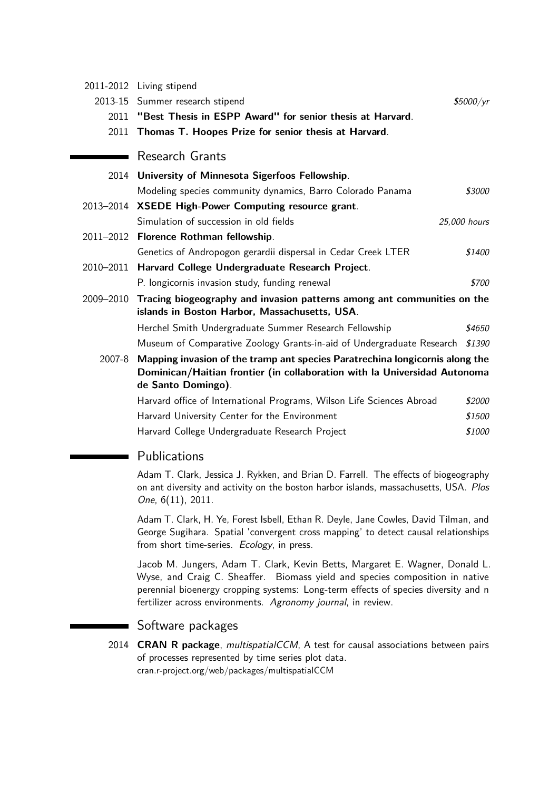|           | 2011-2012 Living stipend                                                                                                                                                        |              |
|-----------|---------------------------------------------------------------------------------------------------------------------------------------------------------------------------------|--------------|
| 2013-15   | Summer research stipend                                                                                                                                                         | \$5000/yr    |
| 2011      | "Best Thesis in ESPP Award" for senior thesis at Harvard.                                                                                                                       |              |
|           | 2011 Thomas T. Hoopes Prize for senior thesis at Harvard.                                                                                                                       |              |
|           | Research Grants                                                                                                                                                                 |              |
| 2014      | University of Minnesota Sigerfoos Fellowship.                                                                                                                                   |              |
|           | Modeling species community dynamics, Barro Colorado Panama                                                                                                                      | \$3000       |
|           | 2013-2014 XSEDE High-Power Computing resource grant.                                                                                                                            |              |
|           | Simulation of succession in old fields                                                                                                                                          | 25,000 hours |
|           | 2011-2012 Florence Rothman fellowship.                                                                                                                                          |              |
|           | Genetics of Andropogon gerardii dispersal in Cedar Creek LTER                                                                                                                   | \$1400       |
| 2010-2011 | Harvard College Undergraduate Research Project.                                                                                                                                 |              |
|           | P. longicornis invasion study, funding renewal                                                                                                                                  | \$700        |
| 2009-2010 | Tracing biogeography and invasion patterns among ant communities on the<br>islands in Boston Harbor, Massachusetts, USA.                                                        |              |
|           | Herchel Smith Undergraduate Summer Research Fellowship                                                                                                                          | \$4650       |
|           | Museum of Comparative Zoology Grants-in-aid of Undergraduate Research                                                                                                           | \$1390       |
| 2007-8    | Mapping invasion of the tramp ant species Paratrechina longicornis along the<br>Dominican/Haitian frontier (in collaboration with la Universidad Autonoma<br>de Santo Domingo). |              |
|           | Harvard office of International Programs, Wilson Life Sciences Abroad                                                                                                           | \$2000       |
|           | Harvard University Center for the Environment                                                                                                                                   | \$1500       |

Harvard College Undergraduate Research Project \$1000

# **Publications**

Adam T. Clark, Jessica J. Rykken, and Brian D. Farrell. The effects of biogeography on ant diversity and activity on the boston harbor islands, massachusetts, USA. Plos One, 6(11), 2011.

Adam T. Clark, H. Ye, Forest Isbell, Ethan R. Deyle, Jane Cowles, David Tilman, and George Sugihara. Spatial 'convergent cross mapping' to detect causal relationships from short time-series. Ecology, in press.

Jacob M. Jungers, Adam T. Clark, Kevin Betts, Margaret E. Wagner, Donald L. Wyse, and Craig C. Sheaffer. Biomass yield and species composition in native perennial bioenergy cropping systems: Long-term effects of species diversity and n fertilizer across environments. Agronomy journal, in review.

# Software packages

2014 **CRAN R package**, multispatialCCM, A test for causal associations between pairs of processes represented by time series plot data. cran.r-project.org/web/packages/multispatialCCM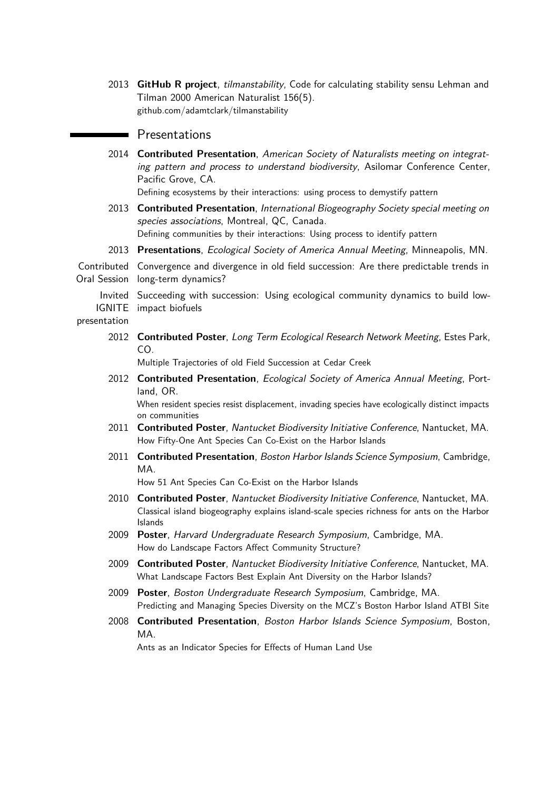2013 **GitHub R project**, tilmanstability, Code for calculating stability sensu Lehman and Tilman 2000 American Naturalist 156(5). github.com/adamtclark/tilmanstability

## **Presentations**

2014 **Contributed Presentation**, American Society of Naturalists meeting on integrating pattern and process to understand biodiversity, Asilomar Conference Center, Pacific Grove, CA.

Defining ecosystems by their interactions: using process to demystify pattern

- 2013 **Contributed Presentation**, International Biogeography Society special meeting on species associations, Montreal, QC, Canada. Defining communities by their interactions: Using process to identify pattern
- 2013 **Presentations**, Ecological Society of America Annual Meeting, Minneapolis, MN.

Contributed Convergence and divergence in old field succession: Are there predictable trends in Oral Session long-term dynamics?

Invited Succeeding with succession: Using ecological community dynamics to build low-IGNITE impact biofuels

presentation

2012 **Contributed Poster**, Long Term Ecological Research Network Meeting, Estes Park, CO.

Multiple Trajectories of old Field Succession at Cedar Creek

2012 **Contributed Presentation**, Ecological Society of America Annual Meeting, Portland, OR.

When resident species resist displacement, invading species have ecologically distinct impacts on communities

- 2011 **Contributed Poster**, Nantucket Biodiversity Initiative Conference, Nantucket, MA. How Fifty-One Ant Species Can Co-Exist on the Harbor Islands
- 2011 **Contributed Presentation**, Boston Harbor Islands Science Symposium, Cambridge, MA.

How 51 Ant Species Can Co-Exist on the Harbor Islands

- 2010 **Contributed Poster**, Nantucket Biodiversity Initiative Conference, Nantucket, MA. Classical island biogeography explains island-scale species richness for ants on the Harbor Islands
- 2009 **Poster**, Harvard Undergraduate Research Symposium, Cambridge, MA. How do Landscape Factors Affect Community Structure?
- 2009 **Contributed Poster**, Nantucket Biodiversity Initiative Conference, Nantucket, MA. What Landscape Factors Best Explain Ant Diversity on the Harbor Islands?
- 2009 **Poster**, Boston Undergraduate Research Symposium, Cambridge, MA. Predicting and Managing Species Diversity on the MCZ's Boston Harbor Island ATBI Site
- 2008 **Contributed Presentation**, Boston Harbor Islands Science Symposium, Boston, MA.

Ants as an Indicator Species for Effects of Human Land Use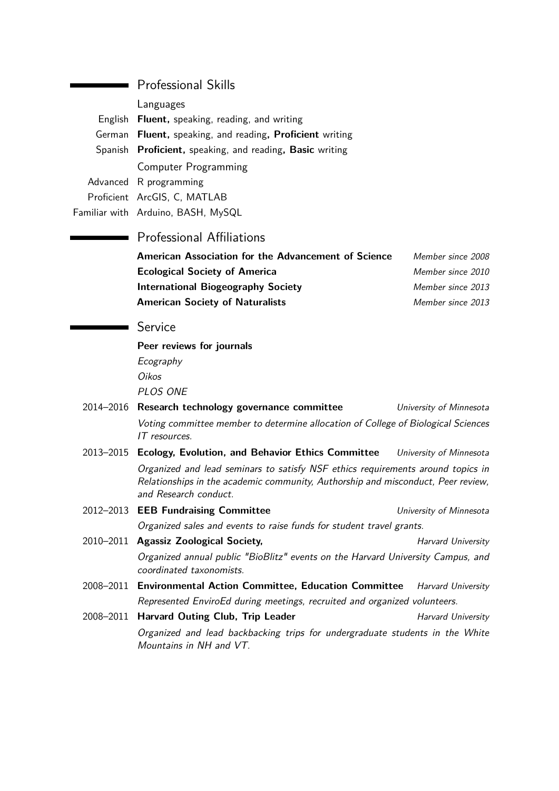| $\blacksquare$ Professional Skills                       |
|----------------------------------------------------------|
| Languages                                                |
| English Fluent, speaking, reading, and writing           |
| German Fluent, speaking, and reading, Proficient writing |
| Spanish Proficient, speaking, and reading, Basic writing |
| <b>Computer Programming</b>                              |
| Advanced R programming                                   |
| Proficient ArcGIS, C, MATLAB                             |
| Familiar with Arduino, BASH, MySQL                       |

Professional Skills

## **Professional Affiliations**

| American Association for the Advancement of Science | Member since 2008 |
|-----------------------------------------------------|-------------------|
| <b>Ecological Society of America</b>                | Member since 2010 |
| <b>International Biogeography Society</b>           | Member since 2013 |
| <b>American Society of Naturalists</b>              | Member since 2013 |

## Service

**Peer reviews for journals** Ecography Oikos PLOS ONE

- 2014–2016 **Research technology governance committee** University of Minnesota Voting committee member to determine allocation of College of Biological Sciences IT resources.
- 2013–2015 **Ecology, Evolution, and Behavior Ethics Committee** University of Minnesota Organized and lead seminars to satisfy NSF ethics requirements around topics in Relationships in the academic community, Authorship and misconduct, Peer review, and Research conduct.
- 2012–2013 **EEB Fundraising Committee** University of Minnesota Organized sales and events to raise funds for student travel grants.
- 2010–2011 **Agassiz Zoological Society,** Manual Charvard University Organized annual public "BioBlitz" events on the Harvard University Campus, and coordinated taxonomists.
- 2008–2011 **Environmental Action Committee, Education Committee** Harvard University Represented EnviroEd during meetings, recruited and organized volunteers.
- 2008–2011 **Harvard Outing Club, Trip Leader** Manual Pharvard University Organized and lead backbacking trips for undergraduate students in the White Mountains in NH and VT.